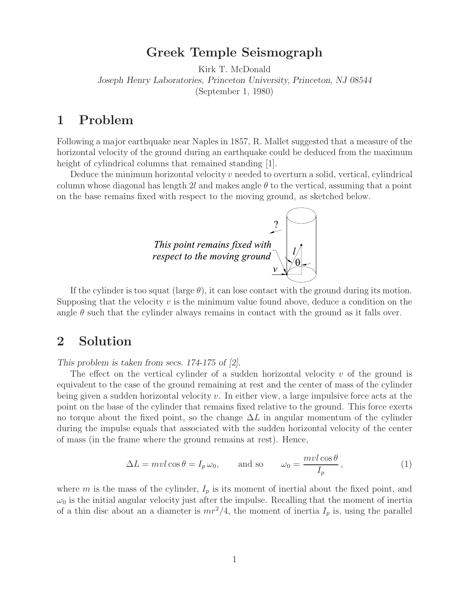**Greek Temple Seismograph** Kirk T. McDonald *Joseph Henry Laboratories, Princeton University, Princeton, NJ 08544* (September 1, 1980)

Following a major earthquake near Naples in 1857, R. Mallet suggested that a measure of the horizontal velocity of the ground during an earthquake could be deduced from the maximum height of cylindrical columns that remained standing [1].

Deduce the minimum horizontal velocity  $v$  needed to overturn a solid, vertical, cylindrical column whose diagonal has length 2l and makes angle  $\theta$  to the vertical, assuming that a point on the base remains fixed with respect to the moving ground, as sketched below.



If the cylinder is too squat (large  $\theta$ ), it can lose contact with the ground during its motion. Supposing that the velocity  $v$  is the minimum value found above, deduce a condition on the angle  $\theta$  such that the cylinder always remains in contact with the ground as it falls over.

## **2 Solution**

*This problem is taken from secs. 174-175 of [2].*

The effect on the vertical cylinder of a sudden horizontal velocity  $v$  of the ground is equivalent to the case of the ground remaining at rest and the center of mass of the cylinder being given a sudden horizontal velocity  $v$ . In either view, a large impulsive force acts at the point on the base of the cylinder that remains fixed relative to the ground. This force exerts no torque about the fixed point, so the change  $\Delta L$  in angular momentum of the cylinder during the impulse equals that associated with the sudden horizontal velocity of the center of mass (in the frame where the ground remains at rest). Hence,

$$
\Delta L = mvl \cos \theta = I_p \,\omega_0, \qquad \text{and so} \qquad \omega_0 = \frac{mvl \cos \theta}{I_p}, \tag{1}
$$

where m is the mass of the cylinder,  $I_p$  is its moment of inertial about the fixed point, and  $\omega_0$  is the initial angular velocity just after the impulse. Recalling that the moment of inertia of a thin disc about an a diameter is  $mr^2/4$ , the moment of inertia  $I_p$  is, using the parallel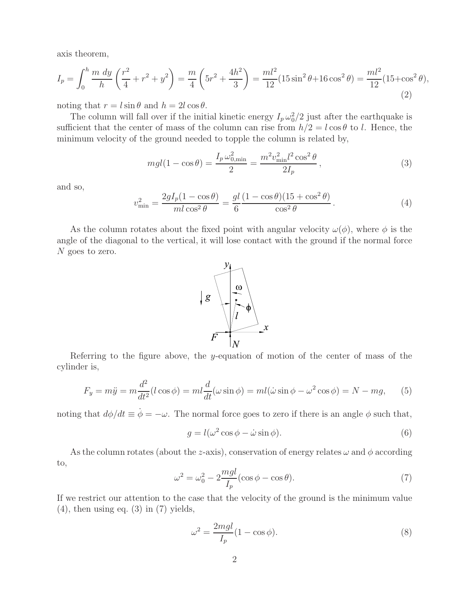axis theorem,

$$
I_p = \int_0^h \frac{m \, dy}{h} \left(\frac{r^2}{4} + r^2 + y^2\right) = \frac{m}{4} \left(5r^2 + \frac{4h^2}{3}\right) = \frac{ml^2}{12} (15\sin^2\theta + 16\cos^2\theta) = \frac{ml^2}{12} (15 + \cos^2\theta),\tag{2}
$$

noting that  $r = l \sin \theta$  and  $h = 2l \cos \theta$ .

The column will fall over if the initial kinetic energy  $I_p \omega_0^2/2$  just after the earthquake is sufficient that the center of mass of the column can rise from  $h/2 = l \cos \theta$  to l. Hence, the minimum velocity of the ground needed to topple the column is related by,

$$
mgl(1 - \cos\theta) = \frac{I_p \omega_{0,\text{min}}^2}{2} = \frac{m^2 v_{\text{min}}^2 l^2 \cos^2\theta}{2I_p},
$$
\n(3)

and so,

$$
v_{\min}^2 = \frac{2gI_p(1 - \cos\theta)}{m l \cos^2\theta} = \frac{gl(1 - \cos\theta)(15 + \cos^2\theta)}{\cos^2\theta}.
$$
 (4)

As the column rotates about the fixed point with angular velocity  $\omega(\phi)$ , where  $\phi$  is the angle of the diagonal to the vertical, it will lose contact with the ground if the normal force N goes to zero.



Referring to the figure above, the y-equation of motion of the center of mass of the cylinder is,

$$
F_y = m\ddot{y} = m\frac{d^2}{dt^2}(l\cos\phi) = ml\frac{d}{dt}(\omega\sin\phi) = ml(\dot{\omega}\sin\phi - \omega^2\cos\phi) = N - mg,\qquad(5)
$$

noting that  $d\phi/dt \equiv \dot{\phi} = -\omega$ . The normal force goes to zero if there is an angle  $\phi$  such that,

$$
g = l(\omega^2 \cos \phi - \dot{\omega} \sin \phi). \tag{6}
$$

As the column rotates (about the z-axis), conservation of energy relates  $\omega$  and  $\phi$  according to,

$$
\omega^2 = \omega_0^2 - 2\frac{mgl}{I_p}(\cos\phi - \cos\theta). \tag{7}
$$

If we restrict our attention to the case that the velocity of the ground is the minimum value  $(4)$ , then using eq.  $(3)$  in  $(7)$  yields,

$$
\omega^2 = \frac{2mgl}{I_p} (1 - \cos \phi). \tag{8}
$$